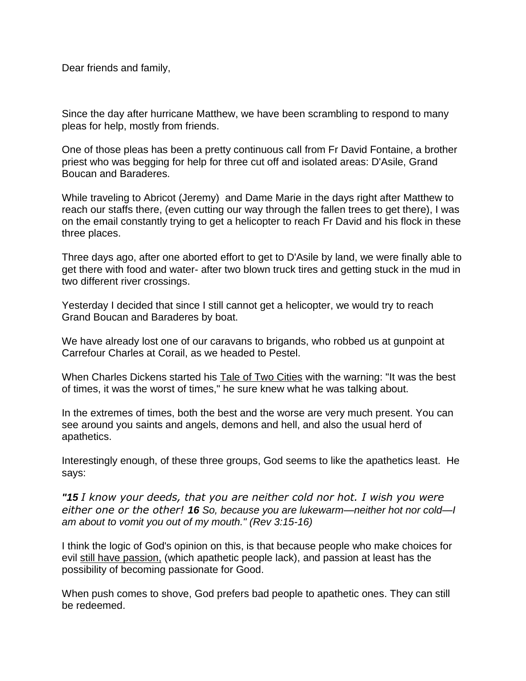Dear friends and family,

Since the day after hurricane Matthew, we have been scrambling to respond to many pleas for help, mostly from friends.

One of those pleas has been a pretty continuous call from Fr David Fontaine, a brother priest who was begging for help for three cut off and isolated areas: D'Asile, Grand Boucan and Baraderes.

While traveling to Abricot (Jeremy) and Dame Marie in the days right after Matthew to reach our staffs there, (even cutting our way through the fallen trees to get there), I was on the email constantly trying to get a helicopter to reach Fr David and his flock in these three places.

Three days ago, after one aborted effort to get to D'Asile by land, we were finally able to get there with food and water- after two blown truck tires and getting stuck in the mud in two different river crossings.

Yesterday I decided that since I still cannot get a helicopter, we would try to reach Grand Boucan and Baraderes by boat.

We have already lost one of our caravans to brigands, who robbed us at gunpoint at Carrefour Charles at Corail, as we headed to Pestel.

When Charles Dickens started his Tale of Two Cities with the warning: "It was the best of times, it was the worst of times," he sure knew what he was talking about.

In the extremes of times, both the best and the worse are very much present. You can see around you saints and angels, demons and hell, and also the usual herd of apathetics.

Interestingly enough, of these three groups, God seems to like the apathetics least. He says:

*"15 I know your deeds, that you are neither cold nor hot. I wish you were either one or the other! 16 So, because you are lukewarm—neither hot nor cold—I am about to vomit you out of my mouth." (Rev 3:15-16)*

I think the logic of God's opinion on this, is that because people who make choices for evil still have passion, (which apathetic people lack), and passion at least has the possibility of becoming passionate for Good.

When push comes to shove, God prefers bad people to apathetic ones. They can still be redeemed.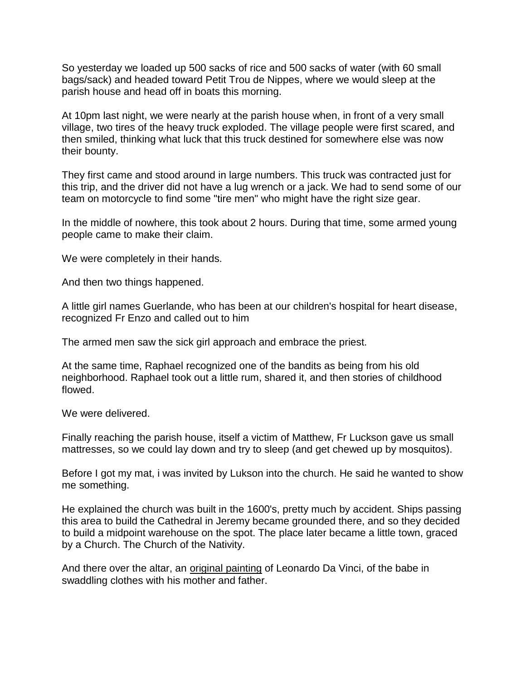So yesterday we loaded up 500 sacks of rice and 500 sacks of water (with 60 small bags/sack) and headed toward Petit Trou de Nippes, where we would sleep at the parish house and head off in boats this morning.

At 10pm last night, we were nearly at the parish house when, in front of a very small village, two tires of the heavy truck exploded. The village people were first scared, and then smiled, thinking what luck that this truck destined for somewhere else was now their bounty.

They first came and stood around in large numbers. This truck was contracted just for this trip, and the driver did not have a lug wrench or a jack. We had to send some of our team on motorcycle to find some "tire men" who might have the right size gear.

In the middle of nowhere, this took about 2 hours. During that time, some armed young people came to make their claim.

We were completely in their hands.

And then two things happened.

A little girl names Guerlande, who has been at our children's hospital for heart disease, recognized Fr Enzo and called out to him

The armed men saw the sick girl approach and embrace the priest.

At the same time, Raphael recognized one of the bandits as being from his old neighborhood. Raphael took out a little rum, shared it, and then stories of childhood flowed.

We were delivered.

Finally reaching the parish house, itself a victim of Matthew, Fr Luckson gave us small mattresses, so we could lay down and try to sleep (and get chewed up by mosquitos).

Before I got my mat, i was invited by Lukson into the church. He said he wanted to show me something.

He explained the church was built in the 1600's, pretty much by accident. Ships passing this area to build the Cathedral in Jeremy became grounded there, and so they decided to build a midpoint warehouse on the spot. The place later became a little town, graced by a Church. The Church of the Nativity.

And there over the altar, an original painting of Leonardo Da Vinci, of the babe in swaddling clothes with his mother and father.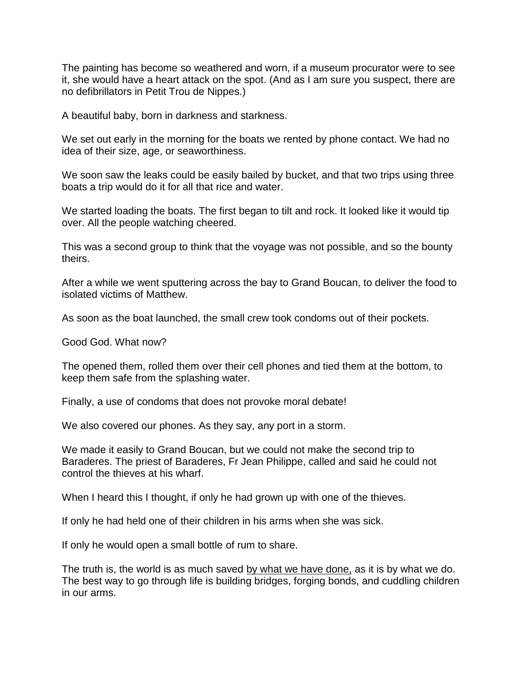The painting has become so weathered and worn, if a museum procurator were to see it, she would have a heart attack on the spot. (And as I am sure you suspect, there are no defibrillators in Petit Trou de Nippes.)

A beautiful baby, born in darkness and starkness.

We set out early in the morning for the boats we rented by phone contact. We had no idea of their size, age, or seaworthiness.

We soon saw the leaks could be easily bailed by bucket, and that two trips using three boats a trip would do it for all that rice and water.

We started loading the boats. The first began to tilt and rock. It looked like it would tip over. All the people watching cheered.

This was a second group to think that the voyage was not possible, and so the bounty theirs.

After a while we went sputtering across the bay to Grand Boucan, to deliver the food to isolated victims of Matthew.

As soon as the boat launched, the small crew took condoms out of their pockets.

Good God. What now?

The opened them, rolled them over their cell phones and tied them at the bottom, to keep them safe from the splashing water.

Finally, a use of condoms that does not provoke moral debate!

We also covered our phones. As they say, any port in a storm.

We made it easily to Grand Boucan, but we could not make the second trip to Baraderes. The priest of Baraderes, Fr Jean Philippe, called and said he could not control the thieves at his wharf.

When I heard this I thought, if only he had grown up with one of the thieves.

If only he had held one of their children in his arms when she was sick.

If only he would open a small bottle of rum to share.

The truth is, the world is as much saved by what we have done, as it is by what we do. The best way to go through life is building bridges, forging bonds, and cuddling children in our arms.